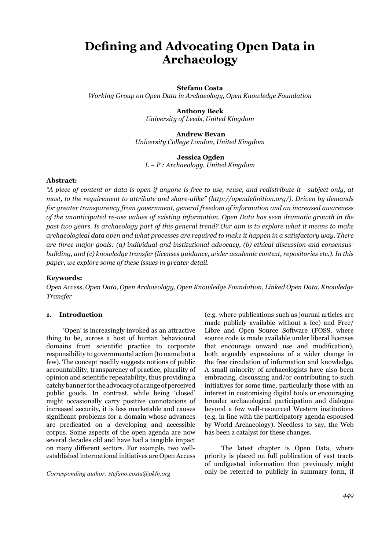# **Defining and Advocating Open Data in** Archaeology

## **Stefano Costa**

*Working Group on Open Data in Archaeology, Open Knowledge Foundation*

# **Anthony Beck** *University of Leeds, United Kingdom*

**Andrew Bevan** *University College London, United Kingdom*

## **Jessica Ogden**

*L – P : Archaeology, United Kingdom*

## Abstract:

*"A piece of content or data is open if anyone is free to use, reuse, and redistribute it - subject only, at PROI*, to the requirement to attribute and share-alike" (http://opendefinition.org/). Driven by demands *for greater transparency from government, general freedom of information and an increased awareness of the unanticipated re-use values of existing information, Open Data has seen dramatic growth in the*  past two years. Is archaeology part of this general trend? Our aim is to explore what it means to make *Duffareological data open and what processes are required to make it happen in a satisfactory way. There* are three major goals: (a) individual and institutional advocacy, (b) ethical discussion and consensus*building, and (c) knowledge transfer (licenses guidance, wider academic context, repositories etc.). In this* paper, we explore some of these issues in greater detail.

## **Kevwords:**

*Open Access, Open Data, Open Archaeology, Open Knowledge Foundation, Linked Open Data, Knowledge Transfer* 

# **1. Introduction**

'Open' is increasingly invoked as an attractive thing to be, across a host of human behavioural domains from scientific practice to corporate responsibility to governmental action (to name but a few). The concept readily suggests notions of public accountability, transparency of practice, plurality of opinion and scientific repeatability, thus providing a catchy banner for the advocacy of a range of perceived public goods. In contrast, while being 'closed' might occasionally carry positive connotations of increased security, it is less marketable and causes significant problems for a domain whose advances are predicated on a developing and accessible corpus. Some aspects of the open agenda are now several decades old and have had a tangible impact on many different sectors. For example, two wellestablished international initiatives are Open Access

(e.g. where publications such as journal articles are made publicly available without a fee) and Free/ Libre and Open Source Software (FOSS, where source code is made available under liberal licenses that encourage onward use and modification), both arguably expressions of a wider change in the free circulation of information and knowledge. A small minority of archaeologists have also been embracing, discussing and/or contributing to such initiatives for some time, particularly those with an interest in customising digital tools or encouraging broader archaeological participation and dialogue beyond a few well-resourced Western institutions (e.g. in line with the participatory agenda espoused by World Archaeology). Needless to say, the Web has been a catalyst for these changes.

The latest chapter is Open Data, where priority is placed on full publication of vast tracts of undigested information that previously might only be referred to publicly in summary form, if

*Corresponding author: stefano.costa@okfn.org*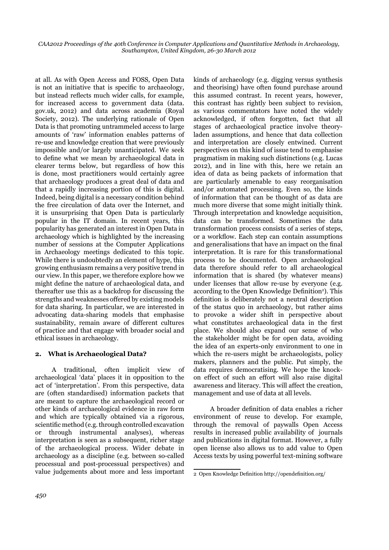at all. As with Open Access and FOSS, Open Data is not an initiative that is specific to archaeology, but instead reflects much wider calls, for example, for increased access to government data (data. gov.uk, 2012) and data across academia (Royal Society, 2012). The underlying rationale of Open Data is that promoting untrammeled access to large amounts of 'raw' information enables patterns of re-use and knowledge creation that were previously impossible and/or largely unanticipated. We seek to define what we mean by archaeological data in clearer terms below, but regardless of how this is done, most practitioners would certainly agree that archaeology produces a great deal of data and that a rapidly increasing portion of this is digital. Indeed, being digital is a necessary condition behind the free circulation of data over the Internet, and it is unsurprising that Open Data is particularly popular in the IT domain. In recent years, this popularity has generated an interest in Open Data in archaeology which is highlighted by the increasing number of sessions at the Computer Applications in Archaeology meetings dedicated to this topic. While there is undoubtedly an element of hype, this growing enthusiasm remains a very positive trend in our view. In this paper, we therefore explore how we might define the nature of archaeological data, and thereafter use this as a backdrop for discussing the strengths and weaknesses offered by existing models for data sharing. In particular, we are interested in advocating data-sharing models that emphasise sustainability, remain aware of different cultures of practice and that engage with broader social and ethical issues in archaeology.

# **2. What is Archaeological Data?**

A traditional, often implicit view of archaeological 'data' places it in opposition to the act of 'interpretation'. From this perspective, data are (often standardised) information packets that are meant to capture the archaeological record or other kinds of archaeological evidence in raw form and which are typically obtained via a rigorous, scientific method (e.g. through controlled excavation or through instrumental analyses), whereas interpretation is seen as a subsequent, richer stage of the archaeological process. Wider debate in archaeology as a discipline (e.g. between so-called processual and post-processual perspectives) and value judgements about more and less important kinds of archaeology (e.g. digging versus synthesis and theorising) have often found purchase around this assumed contrast. In recent years, however, this contrast has rightly been subject to revision, as various commentators have noted the widely acknowledged, if often forgotten, fact that all stages of archaeological practice involve theoryladen assumptions, and hence that data collection and interpretation are closely entwined. Current perspectives on this kind of issue tend to emphasise pragmatism in making such distinctions (e.g. Lucas 2012), and in line with this, here we retain an idea of data as being packets of information that are particularly amenable to easy reorganisation and/or automated processing. Even so, the kinds of information that can be thought of as data are much more diverse that some might initially think. Through interpretation and knowledge acquisition, data can be transformed. Sometimes the data transformation process consists of a series of steps, or a workflow. Each step can contain assumptions and generalisations that have an impact on the final interpretation. It is rare for this transformational process to be documented. Open archaeological data therefore should refer to all archaeological information that is shared (by whatever means) under licenses that allow re-use by everyone (e.g. according to the Open Knowledge Definition<sup>2</sup>). This definition is deliberately not a neutral description of the status quo in archaeology, but rather aims to provoke a wider shift in perspective about what constitutes archaeological data in the first place. We should also expand our sense of who the stakeholder might be for open data, avoiding the idea of an experts-only environment to one in which the re-users might be archaeologists, policy makers, planners and the public. Put simply, the data requires democratising. We hope the knockon effect of such an effort will also raise digital awareness and literacy. This will affect the creation, management and use of data at all levels.

A broader definition of data enables a richer environment of reuse to develop. For example, through the removal of paywalls Open Access results in increased public availability of journals and publications in digital format. However, a fully open license also allows us to add value to Open Access texts by using powerful text-mining software

<sup>2</sup> Open Knowledge Definition http://opendefinition.org/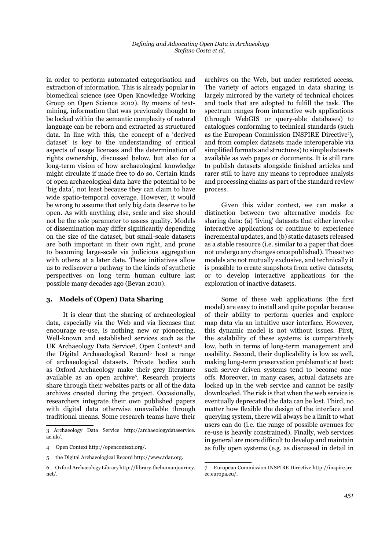in order to perform automated categorisation and extraction of information. This is already popular in biomedical science (see Open Knowledge Working Group on Open Science 2012). By means of textmining, information that was previously thought to be locked within the semantic complexity of natural language can be reborn and extracted as structured data. In line with this, the concept of a 'derived dataset' is key to the understanding of critical aspects of usage licenses and the determination of rights ownership, discussed below, but also for a long-term vision of how archaeological knowledge might circulate if made free to do so. Certain kinds of open archaeological data have the potential to be 'big data', not least because they can claim to have wide spatio-temporal coverage. However, it would be wrong to assume that only big data deserve to be open. As with anything else, scale and size should not be the sole parameter to assess quality. Models of dissemination may differ significantly depending on the size of the dataset, but small-scale datasets are both important in their own right, and prone to becoming large-scale via judicious aggregation with others at a later date. These initiatives allow us to rediscover a pathway to the kinds of synthetic perspectives on long term human culture last possible many decades ago (Bevan 2010).

## 3. Models of (Open) Data Sharing

It is clear that the sharing of archaeological data, especially via the Web and via licenses that encourage re-use, is nothing new or pioneering. Well-known and established services such as the UK Archaeology Data Service<sup>3</sup>, Open Context<sup>4</sup> and the Digital Archaeological Record<sup>5</sup> host a range of archaeological datasets. Private bodies such as Oxford Archaeology make their grey literature available as an open archive<sup>6</sup>. Research projects share through their websites parts or all of the data archives created during the project. Occasionally, researchers integrate their own published papers with digital data otherwise unavailable through traditional means. Some research teams have their

archives on the Web, but under restricted access. The variety of actors engaged in data sharing is largely mirrored by the variety of technical choices and tools that are adopted to fulfill the task. The spectrum ranges from interactive web applications (through WebGIS or query-able databases) to catalogues conforming to technical standards (such as the European Commission INSPIRE Directive<sup>7</sup>), and from complex datasets made interoperable via simplified formats and structures) to simple datasets available as web pages or documents. It is still rare to publish datasets alongside finished articles and rarer still to have any means to reproduce analysis and processing chains as part of the standard review process.

Given this wider context, we can make a distinction between two alternative models for sharing data: (a) 'living' datasets that either involve interactive applications or continue to experience incremental updates, and (b) static datasets released as a stable resource (i.e. similar to a paper that does not undergo any changes once published). These two models are not mutually exclusive, and technically it is possible to create snapshots from active datasets, or to develop interactive applications for the exploration of inactive datasets.

Some of these web applications (the first model) are easy to install and quite popular because of their ability to perform queries and explore map data via an intuitive user interface. However, this dynamic model is not without issues. First, the scalability of these systems is comparatively low, both in terms of long-term management and usability. Second, their duplicability is low as well, making long-term preservation problematic at best: such server driven systems tend to become oneoffs. Moreover, in many cases, actual datasets are locked up in the web service and cannot be easily downloaded. The risk is that when the web service is eventually deprecated the data can be lost. Third, no matter how flexible the design of the interface and querying system, there will always be a limit to what users can do (i.e. the range of possible avenues for re-use is heavily constrained). Finally, web services in general are more difficult to develop and maintain as fully open systems (e.g. as discussed in detail in

<sup>3</sup> Archaeology Data Service http://archaeologydataservice.  $ac.uk/$ .

<sup>4</sup> Open Context http://opencontext.org/.

<sup>5</sup> the Digital Archaeological Record http://www.tdar.org.

<sup>6</sup> Oxford Archaeology Library http://library.thehumanjourney.  $net/.$ 

<sup>7</sup> European Commission INSPIRE Directive http://inspire.jrc. ec.europa.eu/.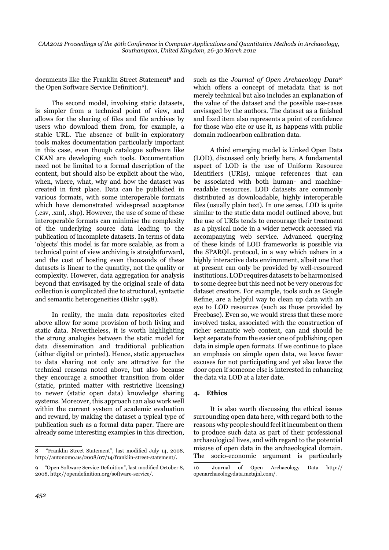documents like the Franklin Street Statement<sup>8</sup> and the Open Software Service Definition<sup>9</sup>).

The second model, involving static datasets, is simpler from a technical point of view, and allows for the sharing of files and file archives by users who download them from, for example, a stable URL. The absence of built-in exploratory tools makes documentation particularly important in this case, even though catalogue software like CKAN are developing such tools. Documentation need not be limited to a formal description of the content, but should also be explicit about the who, when, where, what, why and how the dataset was created in first place. Data can be published in various formats, with some interoperable formats which have demonstrated widespread acceptance  $(csv, xml, shp)$ . However, the use of some of these interoperable formats can minimise the complexity of the underlying source data leading to the publication of incomplete datasets. In terms of data 'objects' this model is far more scalable, as from a technical point of view archiving is straightforward, and the cost of hosting even thousands of these datasets is linear to the quantity, not the quality or complexity. However, data aggregation for analysis beyond that envisaged by the original scale of data collection is complicated due to structural, syntactic and semantic heterogeneities (Bishr 1998).

In reality, the main data repositories cited above allow for some provision of both living and static data. Nevertheless, it is worth highlighting the strong analogies between the static model for data dissemination and traditional publication (either digital or printed). Hence, static approaches to data sharing not only are attractive for the technical reasons noted above, but also because they encourage a smoother transition from older (static, printed matter with restrictive licensing) to newer (static open data) knowledge sharing systems. Moreover, this approach can also work well within the current system of academic evaluation and reward, by making the dataset a typical type of publication such as a formal data paper. There are already some interesting examples in this direction,

such as the *Journal of Open Archaeology Data10* which offers a concept of metadata that is not merely technical but also includes an explanation of the value of the dataset and the possible use-cases envisaged by the authors. The dataset as a finished and fixed item also represents a point of confidence for those who cite or use it, as happens with public domain radiocarbon calibration data.

A third emerging model is Linked Open Data (LOD), discussed only briefly here. A fundamental aspect of LOD is the use of Uniform Resource Identifiers (URIs), unique references that can be associated with both human- and machinereadable resources. LOD datasets are commonly distributed as downloadable, highly interoperable files (usually plain text). In one sense, LOD is quite similar to the static data model outlined above, but the use of URIs tends to encourage their treatment as a physical node in a wider network accessed via accompanying web service. Advanced querying of these kinds of LOD frameworks is possible via the SPARQL protocol, in a way which ushers in a highly interactive data environment, albeit one that at present can only be provided by well-resourced institutions. LOD requires datasets to be harmonised to some degree but this need not be very onerous for dataset creators. For example, tools such as Google Refine, are a helpful way to clean up data with an eye to LOD resources (such as those provided by Freebase). Even so, we would stress that these more involved tasks, associated with the construction of richer semantic web content, can and should be kept separate from the easier one of publishing open data in simple open formats. If we continue to place an emphasis on simple open data, we leave fewer excuses for not participating and yet also leave the door open if someone else is interested in enhancing the data via LOD at a later date.

## 4. **Ethics**

It is also worth discussing the ethical issues surrounding open data here, with regard both to the reasons why people should feel it incumbent on them to produce such data as part of their professional archaeological lives, and with regard to the potential misuse of open data in the archaeological domain. The socio-economic argument is particularly

<sup>8 &</sup>quot;Franklin Street Statement", last modified July 14, 2008, http://autonomo.us/2008/07/14/franklin-street-statement/.

<sup>9 &</sup>quot;Open Software Service Definition", last modified October 8. 2008, http://opendefinition.org/software-service/.

<sup>10</sup> Journal of Open Archaeology Data http:// openarchaeologydata.metajnl.com/.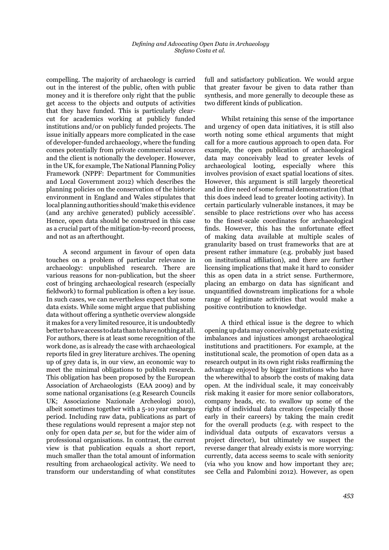compelling. The majority of archaeology is carried out in the interest of the public, often with public money and it is therefore only right that the public get access to the objects and outputs of activities that they have funded. This is particularly clearcut for academics working at publicly funded institutions and/or on publicly funded projects. The issue initially appears more complicated in the case of developer-funded archaeology, where the funding comes potentially from private commercial sources and the client is notionally the developer. However, in the UK, for example, The National Planning Policy Framework (NPPF: Department for Communities and Local Government 2012) which describes the planning policies on the conservation of the historic environment in England and Wales stipulates that local planning authorities should 'make this evidence (and any archive generated) publicly accessible'. Hence, open data should be construed in this case as a crucial part of the mitigation-by-record process, and not as an afterthought.

A second argument in favour of open data touches on a problem of particular relevance in archaeology: unpublished research. There are various reasons for non-publication, but the sheer cost of bringing archaeological research (especially fieldwork) to formal publication is often a key issue. In such cases, we can nevertheless expect that some data exists. While some might argue that publishing data without offering a synthetic overview alongside it makes for a very limited resource, it is undoubtedly better to have access to data than to have nothing at all. For authors, there is at least some recognition of the work done, as is already the case with archaeological reports filed in grey literature archives. The opening up of grey data is, in our view, an economic way to meet the minimal obligations to publish research. This obligation has been proposed by the European Association of Archaeologists (EAA 2009) and by some national organisations (e.g Research Councils UK; Associazione Nazionale Archeologi 2010), albeit sometimes together with a 5-10 year embargo period. Including raw data, publications as part of these regulations would represent a major step not only for open data *per se*, but for the wider aim of professional organisations. In contrast, the current view is that publication equals a short report, much smaller than the total amount of information resulting from archaeological activity. We need to transform our understanding of what constitutes full and satisfactory publication. We would argue that greater favour be given to data rather than synthesis, and more generally to decouple these as two different kinds of publication.

Whilst retaining this sense of the importance and urgency of open data initiatives, it is still also worth noting some ethical arguments that might call for a more cautious approach to open data. For example, the open publication of archaeological data may conceivably lead to greater levels of archaeological looting, especially where this involves provision of exact spatial locations of sites. However, this argument is still largely theoretical and in dire need of some formal demonstration (that this does indeed lead to greater looting activity). In certain particularly vulnerable instances, it may be sensible to place restrictions over who has access to the finest-scale coordinates for archaeological finds. However, this has the unfortunate effect of making data available at multiple scales of granularity based on trust frameworks that are at present rather immature (e.g. probably just based on institutional affiliation), and there are further licensing implications that make it hard to consider this as open data in a strict sense. Furthermore, placing an embargo on data has significant and unquantified downstream implications for a whole range of legitimate activities that would make a positive contribution to knowledge.

A third ethical issue is the degree to which opening up data may conceivably perpetuate existing imbalances and injustices amongst archaeological institutions and practitioners. For example, at the institutional scale, the promotion of open data as a research output in its own right risks reaffirming the advantage enjoyed by bigger institutions who have the wherewithal to absorb the costs of making data open. At the individual scale, it may conceivably risk making it easier for more senior collaborators, company heads, etc. to swallow up some of the rights of individual data creators (especially those early in their careers) by taking the main credit for the overall products (e.g. with respect to the individual data outputs of excavators versus a project director), but ultimately we suspect the reverse danger that already exists is more worrying: currently, data access seems to scale with seniority (via who you know and how important they are; see Cella and Palombini 2012). However, as open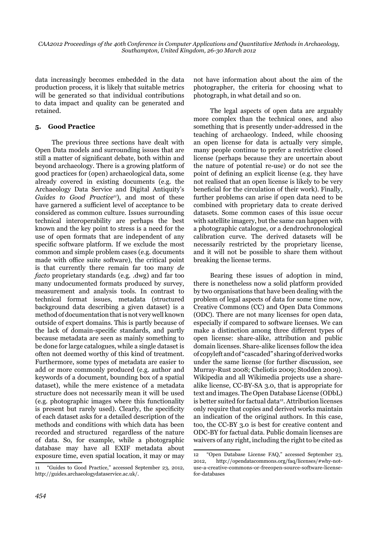*CAA2012 Proceedings of the 40th Conference in Computer Applications and Quantitative Methods in Archaeology, Southampton, United Kingdom, 26-30 March 2012*

data increasingly becomes embedded in the data production process, it is likely that suitable metrics will be generated so that individual contributions to data impact and quality can be generated and retained.

## **5.** *Good Practice*

The previous three sections have dealt with Open Data models and surrounding issues that are still a matter of significant debate, both within and beyond archaeology. There is a growing platform of good practices for (open) archaeological data, some already covered in existing documents (e.g. the Archaeology Data Service and Digital Antiquity's *Guides to Good Practice11*), and most of these have garnered a sufficient level of acceptance to be considered as common culture. Issues surrounding technical interoperability are perhaps the best known and the key point to stress is a need for the use of open formats that are independent of any specific software platform. If we exclude the most common and simple problem cases (e.g. documents made with office suite software), the critical point is that currently there remain far too many *de facto* proprietary standards (e.g. .dwg) and far too many undocumented formats produced by survey, measurement and analysis tools. In contrast to technical format issues, metadata (structured background data describing a given dataset) is a method of documentation that is not very well known outside of expert domains. This is partly because of the lack of domain-specific standards, and partly because metadata are seen as mainly something to be done for large catalogues, while a single dataset is often not deemed worthy of this kind of treatment. Furthermore, some types of metadata are easier to add or more commonly produced (e.g. author and keywords of a document, bounding box of a spatial dataset), while the mere existence of a metadata structure does not necessarily mean it will be used (e.g. photographic images where this functionality is present but rarely used). Clearly, the specificity of each dataset asks for a detailed description of the methods and conditions with which data has been recorded and structured regardless of the nature of data. So, for example, while a photographic database may have all EXIF metadata about exposure time, even spatial location, it may or may not have information about about the aim of the photographer, the criteria for choosing what to photograph, in what detail and so on.

The legal aspects of open data are arguably more complex than the technical ones, and also something that is presently under-addressed in the teaching of archaeology. Indeed, while choosing an open license for data is actually very simple, many people continue to prefer a restrictive closed license (perhaps because they are uncertain about the nature of potential re-use) or do not see the point of defining an explicit license (e.g. they have not realised that an open license is likely to be very beneficial for the circulation of their work). Finally, further problems can arise if open data need to be combined with proprietary data to create derived datasets. Some common cases of this issue occur with satellite imagery, but the same can happen with a photographic catalogue, or a dendrochronological calibration curve. The derived datasets will be necessarily restricted by the proprietary license, and it will not be possible to share them without breaking the license terms.

Bearing these issues of adoption in mind, there is nonetheless now a solid platform provided by two organisations that have been dealing with the problem of legal aspects of data for some time now, Creative Commons (CC) and Open Data Commons (ODC). There are not many licenses for open data, especially if compared to software licenses. We can make a distinction among three different types of open license: share-alike, attribution and public domain licenses. Share-alike licenses follow the idea of copyleft and of "cascaded" sharing of derived works under the same license (for further discussion, see Murray-Rust 2008; Cheliotis 2009; Stodden 2009). Wikipedia and all Wikimedia projects use a sharealike license, CC-BY-SA 3.0, that is appropriate for text and images. The Open Database License (ODbL) is better suited for factual data<sup>12</sup>. Attribution licenses only require that copies and derived works maintain an indication of the original authors. In this case, too, the CC-BY 3.0 is best for creative content and ODC-BY for factual data. Public domain licenses are waivers of any right, including the right to be cited as

<sup>11 &</sup>quot;Guides to Good Practice," accessed September 23, 2012, http://guides.archaeologydataservice.ac.uk/.

<sup>12 &</sup>quot;Open Database License FAQ," accessed September 23, 2012, http://opendatacommons.org/faq/licenses/#why-notuse-a-creative-commons-or-freeopen-source-software-licensefor-databases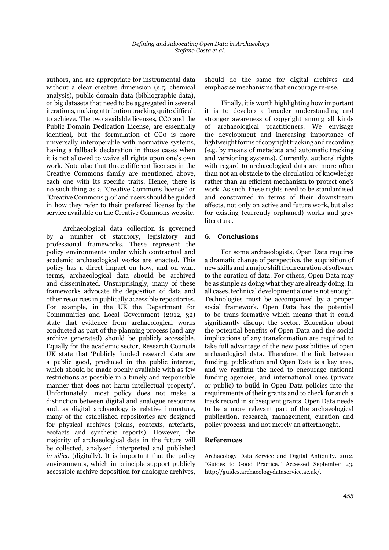authors, and are appropriate for instrumental data without a clear creative dimension (e.g. chemical analysis), public domain data (bibliographic data), or big datasets that need to be aggregated in several iterations, making attribution tracking quite difficult to achieve. The two available licenses, CC0 and the Public Domain Dedication License, are essentially identical, but the formulation of CCo is more universally interoperable with normative systems, having a fallback declaration in those cases when it is not allowed to waive all rights upon one's own work. Note also that three different licenses in the Creative Commons family are mentioned above, each one with its specific traits. Hence, there is no such thing as a "Creative Commons license" or "Creative Commons 3.0" and users should be guided in how they refer to their preferred license by the service available on the Creative Commons website.

Archaeological data collection is governed by a number of statutory, legislatory and professional frameworks. These represent the policy environments under which contractual and academic archaeological works are enacted. This policy has a direct impact on how, and on what terms, archaeological data should be archived and disseminated. Unsurprisingly, many of these frameworks advocate the deposition of data and other resources in publically accessible repositories. For example, in the UK the Department for Communities and Local Government (2012, 32) state that evidence from archaeological works conducted as part of the planning process (and any archive generated) should be publicly accessible. Equally for the academic sector, Research Councils UK state that 'Publicly funded research data are a public good, produced in the public interest, which should be made openly available with as few restrictions as possible in a timely and responsible manner that does not harm intellectual property'. Unfortunately, most policy does not make a distinction between digital and analogue resources and, as digital archaeology is relative immature, many of the established repositories are designed for physical archives (plans, contexts, artefacts, ecofacts and synthetic reports). However, the majority of archaeological data in the future will be collected, analysed, interpreted and published *in-silico* (digitally). It is important that the policy environments, which in principle support publicly accessible archive deposition for analogue archives, should do the same for digital archives and emphasise mechanisms that encourage re-use.

Finally, it is worth highlighting how important it is to develop a broader understanding and stronger awareness of copyright among all kinds of archaeological practitioners. We envisage the development and increasing importance of lightweight forms of copyright tracking and recording (e.g. by means of metadata and automatic tracking and versioning systems). Currently, authors' rights with regard to archaeological data are more often than not an obstacle to the circulation of knowledge rather than an efficient mechanism to protect one's work. As such, these rights need to be standardised and constrained in terms of their downstream effects, not only on active and future work, but also for existing (currently orphaned) works and grey literature.

#### **6.** Conclusions

For some archaeologists, Open Data requires a dramatic change of perspective, the acquisition of new skills and a major shift from curation of software to the curation of data. For others, Open Data may be as simple as doing what they are already doing. In all cases, technical development alone is not enough. Technologies must be accompanied by a proper social framework. Open Data has the potential to be trans-formative which means that it could significantly disrupt the sector. Education about the potential benefits of Open Data and the social implications of any transformation are required to take full advantage of the new possibilities of open archaeological data. Therefore, the link between funding, publication and Open Data is a key area, and we reaffirm the need to encourage national funding agencies, and international ones (private or public) to build in Open Data policies into the requirements of their grants and to check for such a track record in subsequent grants. Open Data needs to be a more relevant part of the archaeological publication, research, management, curation and policy process, and not merely an afterthought.

### **References**

Archaeology Data Service and Digital Antiquity. 2012. "Guides to Good Practice." Accessed September 23. http://guides.archaeologydataservice.ac.uk/.